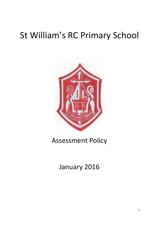# St William's RC Primary School



### Assessment Policy

## January 2016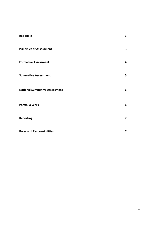| Rationale                            | 3                       |
|--------------------------------------|-------------------------|
| <b>Principles of Assessment</b>      | $\mathbf{3}$            |
| <b>Formative Assessment</b>          | $\overline{\mathbf{4}}$ |
| <b>Summative Assessment</b>          | 5                       |
| <b>National Summative Assessment</b> | 6                       |
| <b>Portfolio Work</b>                | 6                       |
| <b>Reporting</b>                     | $\overline{\mathbf{z}}$ |
| <b>Roles and Responsibilities</b>    | 7                       |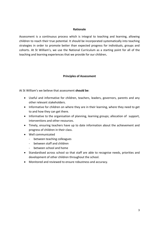#### **Rationale**

Assessment is a continuous process which is integral to teaching and learning, allowing children to reach their true potential. It should be incorporated systematically into teaching strategies in order to promote better than expected progress for individuals, groups and cohorts. At St William's, we use the National Curriculum as a starting point for all of the teaching and learning experiences that we provide for our children**.**

#### **Principles of Assessment**

At St William's we believe that assessment **should be**:

- Useful and informative for children, teachers, leaders, governors, parents and any other relevant stakeholders.
- Informative for children on where they are in their learning, where they need to get to and how they can get there.
- Informative to the organisation of planning, learning groups; allocation of support, interventions and other resources.
- Timely, ensuring teachers have up to date information about the achievement and progress of children in their class.
- Well communicated
	- between teaching colleagues
	- between staff and children
	- between school and home
- Standardised across school so that staff are able to recognise needs, priorities and development of other children throughout the school.
- Monitored and reviewed to ensure robustness and accuracy.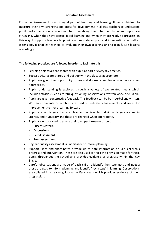#### **Formative Assessment**

Formative Assessment is an integral part of teaching and learning. It helps children to measure their own strengths and areas for development. It allows teachers to understand pupil performance on a continual basis, enabling them to identify when pupils are struggling, when they have consolidated learning and when they are ready to progress. In this way it supports teachers to provide appropriate support and interventions as well as extensions. It enables teachers to evaluate their own teaching and to plan future lessons accordingly.

#### **The following practices are followed in order to facilitate this:**

- Learning objectives are shared with pupils as part of everyday practice.
- Success criteria are shared and built up with the class as appropriate.
- Pupils are given the opportunity to see and discuss examples of good work when appropriate.
- Pupils' understanding is explored through a variety of age related means which include activities such as careful questioning, observations; written work, discussion.
- Pupils are given constructive feedback. This feedback can be both verbal and written. Written comments or symbols are used to indicate achievements and areas for improvement to move learning forward.
- Pupils are set targets that are clear and achievable. Individual targets are set in Literacy and Numeracy and these are changed when appropriate.
- Pupils are encouraged to assess their own performance through:
	- Success criteria
	- **Discussions**
	- **Self Assessment**
	- **Peer assessment**
- Regular quality assessment is undertaken to inform planning
- Support Plans and short notes provide up to date information on SEN children's progress and intervention. These are also used to track the provision made for these pupils throughout the school and provides evidence of progress within the Key Stage.
- Careful observations are made of each child to identify their strengths and needs; these are used to inform planning and identify 'next steps' in learning. Observations are collated in a Learning Journal in Early Years which provides evidence of their progression.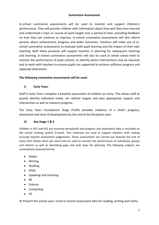#### **Summative Assessment**

In-school summative assessments will be used to monitor and support children's performance. They will provide children with information about how well they have learned and understood a topic or course of work taught over a period of time, providing feedback on how they can continue to improve. In-school summative assessments will also inform parents about achievement, progress and wider outcomes. Teachers will make use of inschool summative assessments to evaluate both pupil learning and the impact of their own teaching. Both these purposes will support teachers in planning for subsequent teaching and learning. In-school summative assessments will also be used at whole school level to monitor the performance of pupil cohorts, to identify where interventions may be required and to work with teachers to ensure pupils are supported to achieve sufficient progress and expected attainment.

#### **The following summative assessments will be used:**

#### **i) Early Years**

Staff in Early Years complete a baseline assessment of children on entry. This allows staff to quickly identify individual needs, set realistic targets and plan appropriate support and intervention as well as measure progress.

The Early Years Foundations Stage Profile provides evidence of a child's progress, attainment and level of development by the end of the Reception year.

#### **ii) Key Stage 1 & 2**

Children in KS1 and KS2 are assessed periodically and progress and attainment data is recorded on the school tracking system (i-track). Test materials are used to support teachers with making accurate teacher assessment judgements. These assessments are carried out towards the end of every term (three times per year) and are used to monitor the performance of individuals, groups and cohorts as well as identifying gaps and next steps for planning. The following subjects are summatively assessed termly:

- Maths
- Writing
- Reading
- SPaG
- Speaking and Listening
- $\bullet$  RE
- Science
- Computing
- $\bullet$  PE

At Present the school uses i-track to record assessment data for reading, writing and maths.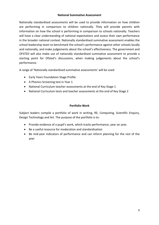#### **National Summative Assessment**

Nationally standardised assessments will be used to provide information on how children are performing in comparison to children nationally. They will provide parents with information on how the school is performing in comparison to schools nationally. Teachers will have a clear understanding of national expectations and assess their own performance in the broader national context. Nationally standardised summative assessment enables the school leadership team to benchmark the school's performance against other schools locally and nationally, and make judgements about the school's effectiveness. The government and OFSTED will also make use of nationally standardised summative assessment to provide a starting point for Ofsted's discussions, when making judgements about the school's performance.

A range of 'Nationally standardised summative assessments' will be used:

- Early Years Foundation Stage Profile
- A Phonics Screening test in Year 1
- National Curriculum teacher assessments at the end of Key Stage 1
- National Curriculum tests and teacher assessments at the end of Key Stage 2

#### **Portfolio Work**

Subject leaders compile a portfolio of work in writing, RE, Computing, Scientific Enquiry, Design Technology and Art. The purpose of the portfolio is to:

- Provide evidence of a pupil's work, which tracks performance, year on year.
- Be a useful resource for moderation and standardisation
- Be mid-year indicators of performance and can inform planning for the rest of the year